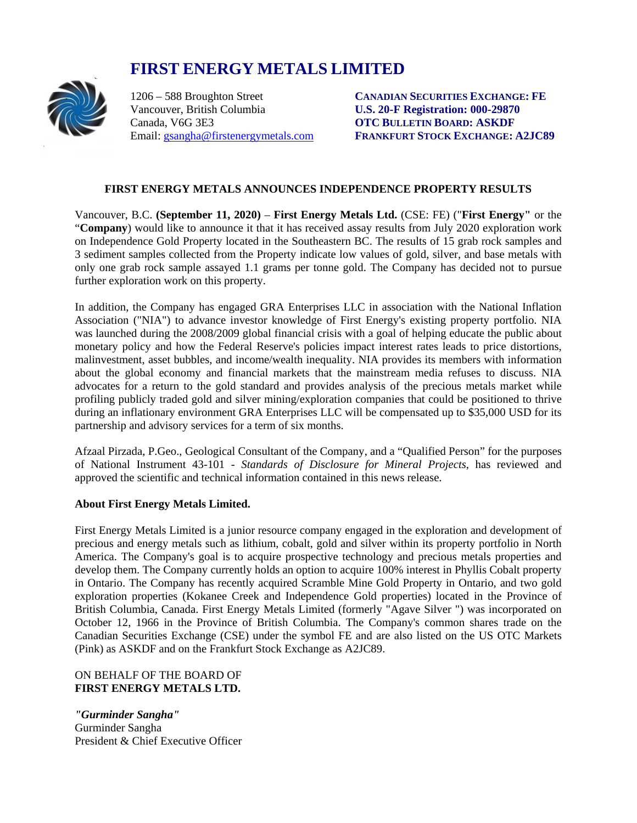# **FIRST ENERGY METALS LIMITED**<br>1206 – 588 Broughton Street CANADIAN



Vancouver, British Columbia<br> **U.S. 20-F Registration: 000-29870**<br> **Canada.** V6G 3E3<br> **OTC BULLETIN BOARD: ASKDF** 

1206 – 588 Broughton Street **CANADIAN SECURITIES EXCHANGE: FE OTC BULLETIN BOARD: ASKDF** Email: [gsangha@firstenergymetals.com](mailto:gsangha@firstenergymetals.com) **FRANKFURT STOCK EXCHANGE: A2JC89**

# **FIRST ENERGY METALS ANNOUNCES INDEPENDENCE PROPERTY RESULTS**

Vancouver, B.C. **(September 11, 2020)** – **First Energy Metals Ltd.** (CSE: FE) ("**First Energy"** or the "**Company**) would like to announce it that it has received assay results from July 2020 exploration work on Independence Gold Property located in the Southeastern BC. The results of 15 grab rock samples and 3 sediment samples collected from the Property indicate low values of gold, silver, and base metals with only one grab rock sample assayed 1.1 grams per tonne gold. The Company has decided not to pursue further exploration work on this property.

In addition, the Company has engaged GRA Enterprises LLC in association with the National Inflation Association ("NIA") to advance investor knowledge of First Energy's existing property portfolio. NIA was launched during the 2008/2009 global financial crisis with a goal of helping educate the public about monetary policy and how the Federal Reserve's policies impact interest rates leads to price distortions, malinvestment, asset bubbles, and income/wealth inequality. NIA provides its members with information about the global economy and financial markets that the mainstream media refuses to discuss. NIA advocates for a return to the gold standard and provides analysis of the precious metals market while profiling publicly traded gold and silver mining/exploration companies that could be positioned to thrive during an inflationary environment GRA Enterprises LLC will be compensated up to \$35,000 USD for its partnership and advisory services for a term of six months.

Afzaal Pirzada, P.Geo., Geological Consultant of the Company, and a "Qualified Person" for the purposes of National Instrument 43-101 - *Standards of Disclosure for Mineral Projects*, has reviewed and approved the scientific and technical information contained in this news release.

### **About First Energy Metals Limited.**

First Energy Metals Limited is a junior resource company engaged in the exploration and development of precious and energy metals such as lithium, cobalt, gold and silver within its property portfolio in North America. The Company's goal is to acquire prospective technology and precious metals properties and develop them. The Company currently holds an option to acquire 100% interest in Phyllis Cobalt property in Ontario. The Company has recently acquired Scramble Mine Gold Property in Ontario, and two gold exploration properties (Kokanee Creek and Independence Gold properties) located in the Province of British Columbia, Canada. First Energy Metals Limited (formerly "Agave Silver ") was incorporated on October 12, 1966 in the Province of British Columbia. The Company's common shares trade on the Canadian Securities Exchange (CSE) under the symbol FE and are also listed on the US OTC Markets (Pink) as ASKDF and on the Frankfurt Stock Exchange as A2JC89.

# ON BEHALF OF THE BOARD OF **FIRST ENERGY METALS LTD.**

*"Gurminder Sangha"* Gurminder Sangha President & Chief Executive Officer